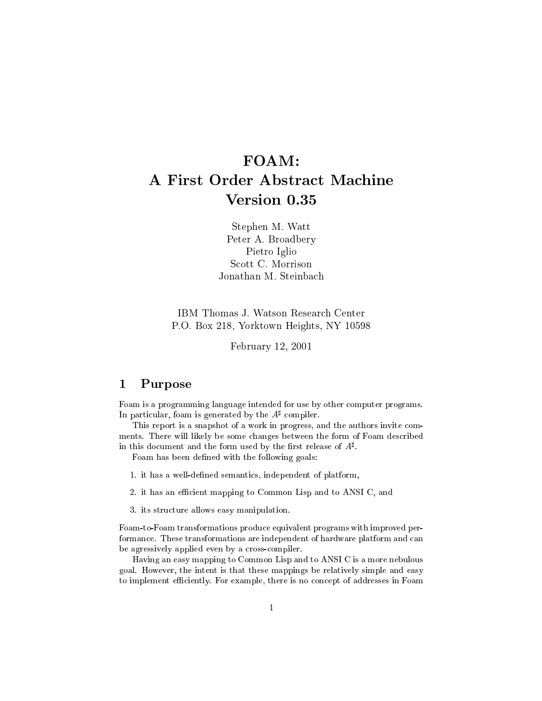# FOAM: A First Order Abstra
t Ma
hine Version 0.35

Stephen M. Watt Peter A. Broadbery Pietro Iglio Jonathan M. Steinba
h

IBM Thomas J. Watson Resear
h Center P.O. Box 218, Yorktown Heights, NY 10598

February 12, 2001

# 1 Purpose

Foam is a programming language intended for use by other computer programs. In particular, foam is generated by the A<sub>t complier.</sub>

This report is a snapshot of a work in progress, and the authors invite comments. There will likely be some hanges between the form of Foam des
ribed in this document and the form used by the first release of  $A^*$ .

Foam has been defined with the following goals:

- 1. it has a well-defined semantics, independent of platform,
- 2. it has an efficient mapping to Common Lisp and to ANSI C, and
- 3. its stru
ture allows easy manipulation.

Foam-to-Foam transformations produ
e equivalent programs with improved performance. These transformations are independent of hardware platform and can be agressively applied even by a cross-compiler.

Having an easy mapping to Common Lisp and to ANSI C is a more nebulous goal. However, the intent is that these mappings be relatively simple and easy to implement efficiently. For example, there is no concept of addresses in Foam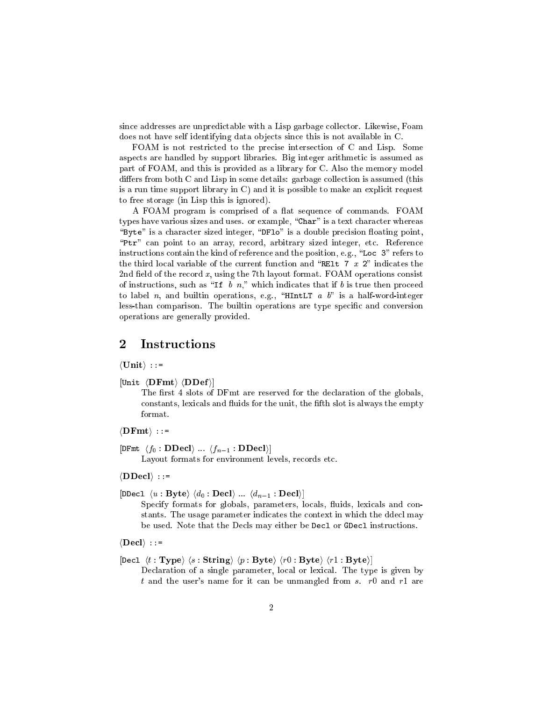since addresses are unpredictable with a Lisp garbage collector. Likewise, Foam does not have self identifying data objects since this is not available in C.

FOAM is not restricted to the precise intersection of C and Lisp. Some aspe
ts are handled by support libraries. Big integer arithmeti is assumed as part of FOAM, and this is provided as a library for C. Also the memory model  $differs from both C and Lisp in some details: garbage collection is assumed (this)$ is a run time support library in  $C$ ) and it is possible to make an explicit request to free storage (in Lisp this is ignored).

A FOAM program is comprised of a flat sequence of commands. FOAM types have various sizes and uses. or example, "Char" is a text character whereas "Byte" is a character sized integer, "DF10" is a double precision floating point, "Ptr" can point to an array, record, arbitrary sized integer, etc. Reference instructions contain the kind of reference and the position, e.g., "Loc 3" refers to the third local variable of the current function and "RELT 7  $x$  2" indicates the 2nd field of the record  $x$ , using the 7th layout format. FOAM operations consist of instructions, such as "If b n," which indicates that if b is true then proceed to label n, and builtin operations, e.g., "HIntLT  $a$  b" is a half-word-integer less-than comparison. The builtin operations are type specific and conversion operations are generally provided.

### $\overline{2}$ **Instructions**

 $\langle$ Unit $\rangle$  ::=

 $[Unit \langle \textbf{DFmt} \rangle \langle \textbf{DDef} \rangle]$ 

The first 4 slots of DFmt are reserved for the declaration of the globals, constants, lexicals and fluids for the unit, the fifth slot is always the empty format.

 $\langle \textbf{DFmt} \rangle$  ::=

 $[DFmt \langle f_0 : \mathbf{DDecl} \rangle \dots \langle f_{n-1} : \mathbf{DDecl} \rangle]$ 

Layout formats for environment levels, records etc.

 $\langle \textbf{D}\textbf{D}\textbf{e}\textbf{c} \rangle$  ::=

[DDecl  $\langle u : \textbf{Byte} \rangle \langle d_0 : \textbf{Deck} \rangle ... \langle d_{n-1} : \textbf{Deck} \rangle$ ] Specify formats for globals, parameters, locals, fluids, lexicals and constants. The usage parameter indicates the context in which the ddecl may

be used. Note that the Decls may either be Decl or GDecl instructions.

 $\langle$ Decl $\rangle$  ::=

[Decl  $\langle t : \textbf{Type} \rangle$   $\langle s : \textbf{String} \rangle$   $\langle p : \textbf{Byte} \rangle$   $\langle r0 : \textbf{Byte} \rangle$   $\langle r1 : \textbf{Byte} \rangle$ ]

Declaration of a single parameter, local or lexical. The type is given by t and the user's name for it can be unmangled from s.  $r_0$  and  $r_1$  are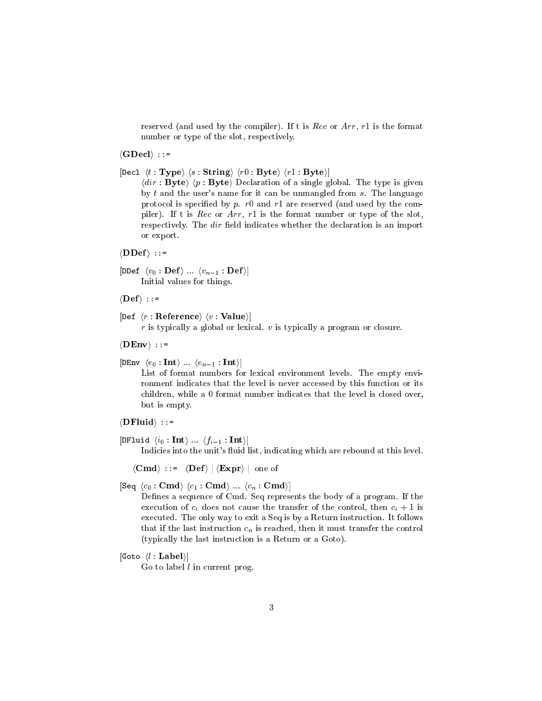reserved (and used by the compiler). If t is  $Rec$  or  $Arr$ ,  $r1$  is the format number or type of the slot, respectively.

 $\langle$ GDecl $\rangle$  ::=

[Decl  $\langle t : \textbf{Type} \rangle$   $\langle s : \textbf{String} \rangle$   $\langle r0 : \textbf{Byte} \rangle$   $\langle r1 : \textbf{Byte} \rangle$ ]

 $\langle dir : Byte \rangle$   $\langle p : Byte \rangle$  Declaration of a single global. The type is given by  $t$  and the user's name for it can be unmangled from  $s$ . The language protocol is specified by  $p$ . r0 and r1 are reserved (and used by the compiler). If t is Rec or Arr, r1 is the format number or type of the slot, respectively. The *dir* field indicates whether the declaration is an import or export.

 $\langle$ DDef $\rangle$  ::=

 $[{\tt DDef}~\langle v_0 : {\bf Def} \rangle~...~\langle v_{n-1} : {\bf Def} \rangle]$ Initial values for things.

 $\langle\text{Def}\rangle$  ::=

[Def  $\langle r : \textbf{Reference} \rangle \langle v : \textbf{Value} \rangle$ ]

 $r$  is typically a global or lexical.  $v$  is typically a program or closure.

 $\langle$ DEnv $\rangle$  ::=

[DEnv  $\langle e_0 : \text{Int} \rangle ... \langle e_{n-1} : \text{Int} \rangle$ ]

List of format numbers for lexical environment levels. The empty environment indicates that the level is never accessed by this function or its children, while a 0 format number indicates that the level is closed over, but is empty.

 $\langle$ **DFluid** $\rangle$  ::=

[DFluid  $\langle i_0 : \textbf{Int} \rangle ... \langle f_{i-1} : \textbf{Int} \rangle$ ]

Indicies into the unit's fluid list, indicating which are rebound at this level.

 $\langle Cmd \rangle$  ::=  $\langle Def \rangle | \langle Expert \rangle |$  one of

 $[\texttt{Seq} \ \langle c_0 : \textbf{Cmd} \rangle \ \langle c_1 : \textbf{Cmd} \rangle \ ... \ \langle c_n : \textbf{Cmd} \rangle]$ 

Defines a sequence of Cmd. Seq represents the body of a program. If the execution of  $c_i$  does not cause the transfer of the control, then  $c_i + 1$  is executed. The only way to exit a Seq is by a Return instruction. It follows that if the last instruction  $c_n$  is reached, then it must transfer the control (typi
ally the last instru
tion is a Return or a Goto).

[Goto  $\langle l : \textbf{Label} \rangle$ ]

Go to label  $l$  in current prog.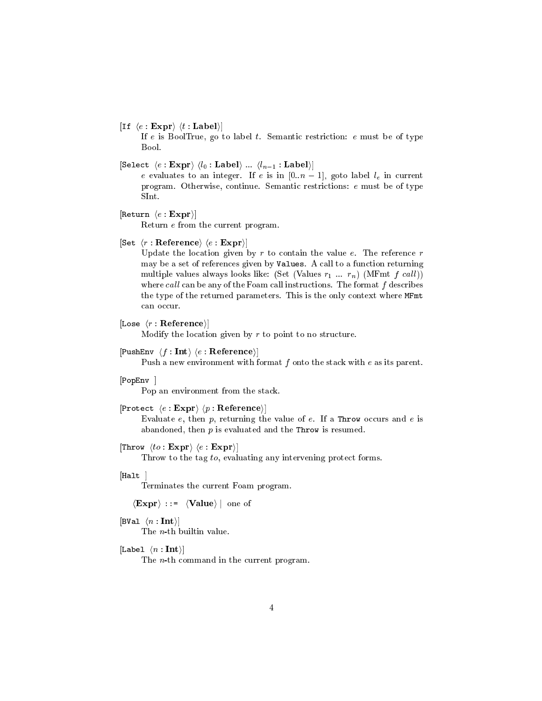### [If  $\langle e : \mathbf{Expr} \rangle \langle t : \mathbf{Label} \rangle$ ]

If  $e$  is BoolTrue, go to label  $t$ . Semantic restriction:  $e$  must be of type Bool.

[Select  $\langle e : \textbf{Expr} \rangle \langle l_0 : \textbf{Label} \rangle \dots \langle l_{n-1} : \textbf{Label} \rangle$ ]

e evaluates to an integer. If e is in  $[0..n-1]$ , goto label  $l_e$  in current program. Otherwise, continue. Semantic restrictions: e must be of type SInt.

```
[Return \langle e : \mathbf{Expr} \rangle]
```
Return e from the urrent program.

 $\vert$ Set  $\langle r :$  Reference $\rangle \langle e :$  Expr $\rangle \vert$ 

Update the location given by  $r$  to contain the value  $e$ . The reference  $r$ may be a set of references given by Values. A call to a function returning multiple values always looks like: (Set (Values  $r_1 ... r_n$ ) (MFmt  $f \, \text{call}$ )) where call can be any of the Foam call instructions. The format  $f$  describes the type of the returned parameters. This is the only context where MFmt can occur.

### [Lose  $\langle r : \textbf{Reference} \rangle$ ]

Modify the location given by  $r$  to point to no structure.

### $[PushEnv \langle f : Int \rangle \langle e : Reference \rangle]$

Push a new environment with format  $f$  onto the stack with  $e$  as its parent.

## $[PopEnv]$

Pop an environment from the sta
k.

## [Protect  $\langle e : \text{Expr} \rangle$   $\langle p : \text{Reference} \rangle$ ]

Evaluate  $e$ , then  $p$ , returning the value of  $e$ . If a Throw occurs and  $e$  is abandoned, then  $p$  is evaluated and the Throw is resumed.

## [Throw  $\langle to : \mathbf{Expr} \rangle \langle e : \mathbf{Expr} \rangle$ ]

Throw to the tag to, evaluating any intervening protect forms.

### $[Halt]$

Terminates the urrent Foam program.

 $\langle \textbf{Expr} \rangle$  ::=  $\langle \textbf{Value} \rangle$  | one of

### [BVal  $\langle n : \textbf{Int} \rangle$ ]

The n-th builtin value.

# [Label  $\langle n : \textbf{Int} \rangle$ ]

The *n*-th command in the current program.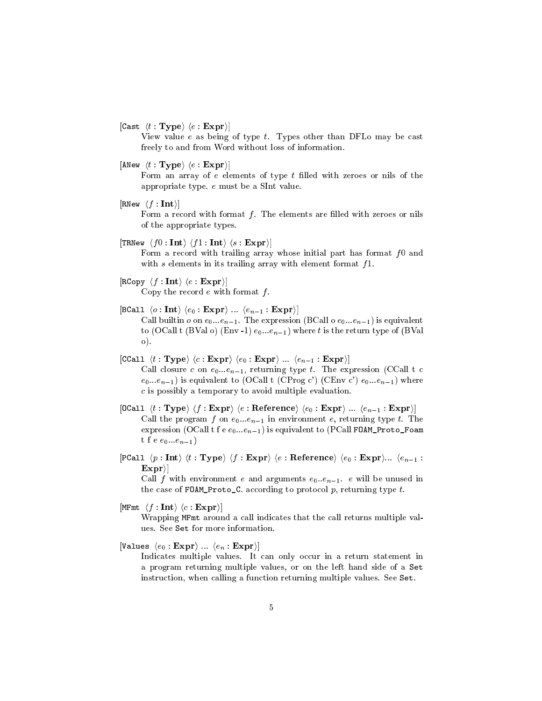[Cast  $\langle t : \textbf{Type} \rangle$   $\langle e : \textbf{Expr} \rangle$ ]

View value  $e$  as being of type  $t$ . Types other than DFLo may be cast freely to and from Word without loss of information.

 $\langle ANew \langle t : Type \rangle \langle e : Expr \rangle$ 

Form an array of  $e$  elements of type  $t$  filled with zeroes or nils of the appropriate type. e must be a SInt value.

 $[{\tt RNew} \ \langle f : {\bf Int} \rangle]$ 

Form a record with format  $f$ . The elements are filled with zeroes or nils of the appropriate types.

 $\lceil \texttt{TRNew } \langle f0:\textbf{Int} \rangle \langle f1:\textbf{Int} \rangle \langle s:\textbf{Expr} \rangle \rceil$ 

Form a record with trailing array whose initial part has format  $f_0$  and with  $s$  elements in its trailing array with element format  $f1$ .

- $[\text{RCopy } \langle f : \text{Int} \rangle \langle e : \text{Expr} \rangle]$ Copy the record  $e$  with format  $f$ .
- [BCall  $\langle o : \textbf{Int} \rangle$   $\langle e_0 : \textbf{Expr} \rangle$  ...  $\langle e_{n-1} : \textbf{Expr} \rangle$ ] Call builtin  $o$  on  $e_0...e_{n-1}$ . The expression (BCall o  $e_0...e_{n-1}$ ) is equivalent to (OCall t (BVal o) (Env -1)  $e_0...e_{n-1}$ ) where t is the return type of (BVal  $\circ$ ).
- [CCall  $\langle t : \textbf{Type} \rangle$   $\langle c : \textbf{Expr} \rangle$   $\langle e_0 : \textbf{Expr} \rangle$  ...  $\langle e_{n-1} : \textbf{Expr} \rangle$ ] Call closure c on  $e_0...e_{n-1}$ , returning type t. The expression (CCall t c  $(e_0...e_{n-1})$  is equivalent to (OCall t (CProg c') (CEnv c')  $e_0...e_{n-1}$ ) where  $c$  is possibly a temporary to avoid multiple evaluation.
- [OCall  $\langle t : Type \rangle \langle f : Expr \rangle \langle e : Reference \rangle \langle e_0 : Expr \rangle ... \langle e_{n-1} : Expr \rangle$ Call the program f on  $e_0...e_{n-1}$  in environment e, returning type t. The expression (OCall t f e  $e_0...e_{n-1}$ ) is equivalent to (PCall FOAM\_Proto\_Foam t f e  $e_0...e_{n-1}$
- [PCall  $\langle p: \text{Int} \rangle$   $\langle t: \text{Type} \rangle$   $\langle f: \text{Expr} \rangle$   $\langle e: \text{Reference} \rangle$   $\langle e_0: \text{Expr} \rangle ...$   $\langle e_{n-1}:$  $|\mathbf{Expr}\rangle|$

Call f with environment e and arguments  $e_0...e_{n-1}$ . e will be unused in the case of FOAM\_Proto\_C. according to protocol  $p$ , returning type  $t$ .

 $[\texttt{MFmt }\langle f:\textbf{Int}\rangle \langle c:\textbf{Expr}\rangle]$ 

Wrapping MFmt around a call indicates that the call returns multiple values. See Set for more information.

[Values  $\langle e_0 : \mathbf{Expr} \rangle$  ...  $\langle e_n : \mathbf{Expr} \rangle$ ]

Indicates multiple values. It can only occur in a return statement in a program returning multiple values, or on the left hand side of a Set instruction, when calling a function returning multiple values. See Set.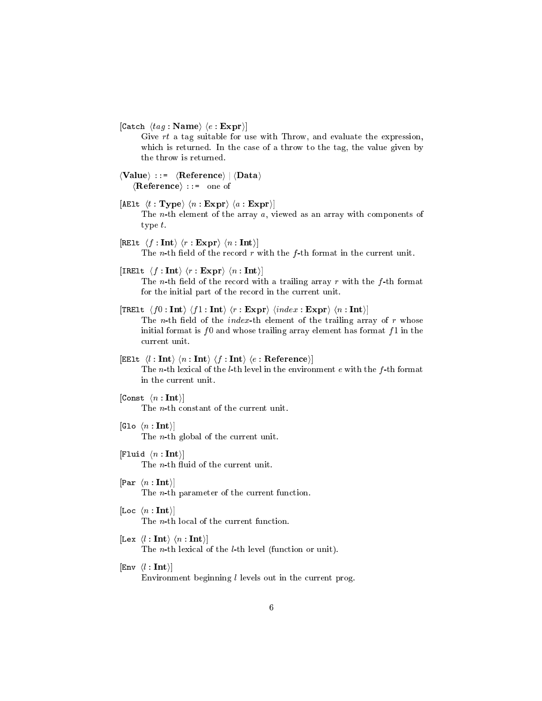$|$ Catch  $\langle tag : \mathbf{Name} \rangle \langle e : \mathbf{Expr} \rangle |$ 

Give rt a tag suitable for use with Throw, and evaluate the expression, which is returned. In the case of a throw to the tag, the value given by the throw is returned.

- $\langle$ Value $\rangle$  ::=  $\langle$ Reference $\rangle$  |  $\langle$ Data $\rangle$  $\langle$ **Reference** $\rangle$  ::= one of
- [AElt  $\langle t : \textbf{Type} \rangle \langle n : \textbf{Expr} \rangle \langle a : \textbf{Expr} \rangle$ ] The *n*-th element of the array  $a$ , viewed as an array with components of type t.
- $[RE1t \langle f : Int \rangle \langle r : Expr \rangle \langle n : Int \rangle]$ The *n*-th field of the record  $r$  with the  $f$ -th format in the current unit.
- [IRElt  $\langle f : \textbf{Int} \rangle \langle r : \textbf{Expr} \rangle \langle n : \textbf{Int} \rangle$ ]

The *n*-th field of the record with a trailing array  $r$  with the  $f$ -th format for the initial part of the record in the current unit.

- [TRE1t  $\langle f0 : \text{Int} \rangle \langle f1 : \text{Int} \rangle \langle r : \text{Expr} \rangle \langle index : \text{Expr} \rangle \langle n : \text{Int} \rangle$ ] The *n*-th field of the *index*-th element of the trailing array of  $r$  whose initial format is  $f0$  and whose trailing array element has format  $f1$  in the urrent unit.
- [EE1t  $\langle l : \text{Int} \rangle \langle n : \text{Int} \rangle \langle f : \text{Int} \rangle \langle e : \text{Reference} \rangle$ ] The *n*-th lexical of the *l*-th level in the environment  $e$  with the  $f$ -th format in the urrent unit.
- $[Const \langle n : Int \rangle]$ The *n*-th constant of the current unit.
- [Glo  $\langle n : \textbf{Int} \rangle$ ] The *n*-th global of the current unit.
- [Fluid  $\langle n : \text{Int} \rangle$ ] The *n*-th fluid of the current unit.
- $\lceil \text{Par} \ (n : \text{Int}) \rceil$ The  $n$ -th parameter of the current function.
- [Loc  $\langle n : \text{Int} \rangle$ ] The *n*-th local of the current function.
- $\left[ \text{Lex } \langle l : \text{Int} \rangle \langle n : \text{Int} \rangle \right]$ The *n*-th lexical of the *l*-th level (function or unit).
- $|Env \langle l : Int \rangle|$ Environment beginning  $l$  levels out in the current prog.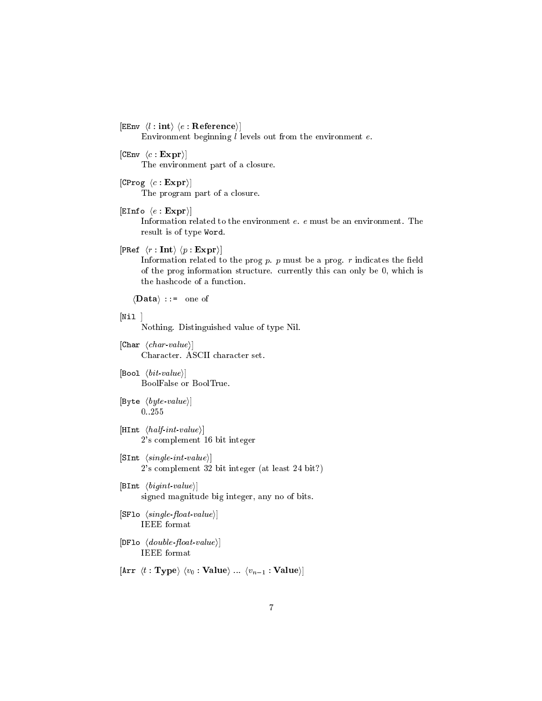$|EEnv \langle l : \text{int} \rangle \langle e : \text{Reference} \rangle |$ 

Environment beginning  $l$  levels out from the environment  $e$ .

- $[CEnv \langle c : Expr \rangle]$ The environment part of a losure.
- [CProg  $\langle c : \mathbf{Expr} \rangle$ ] The program part of a closure.
- $|EInfo \langle e : Expr \rangle|$ Information related to the environment e. e must be an environment. The result is of type Word.
- [PRef  $\langle r : \text{Int} \rangle \langle p : \text{Expr} \rangle$ ]

Information related to the prog  $p$ .  $p$  must be a prog.  $r$  indicates the field of the prog information structure. currently this can only be 0, which is the hash
ode of a fun
tion.

 $\langle \textbf{Data} \rangle$  ::= one of

 $[Ni1]$ 

Nothing. Distinguished value of type Nil.

- $[Char\ \langle char\ \textit{value} \rangle]$ Character. ASCII character set.
- [Bool  $\langle bit-value \rangle$ ] BoolFalse or BoolTrue.
- $[\text{Byte } \langle byte \text{value} \rangle]$ 0..255
- $[$ HInt  $\langle half-int-value \rangle]$ 2's omplement 16 bit integer
- $[\texttt{SInt} \ \langle single-int-value \rangle]$ 2's omplement 32 bit integer (at least 24 bit?)
- [BInt  $\langle bigint-value \rangle$ ] signed magnitude big integer, any no of bits.
- $[\texttt{SFlo} \ \langle \textit{single-float-value} \rangle]$ IEEE format
- $[DFlo \ \langle double\text{-}float\text{-}value \rangle]$ IEEE format
- [Arr  $\langle t : \textbf{Type} \rangle$   $\langle v_0 : \textbf{Value} \rangle$  ...  $\langle v_{n-1} : \textbf{Value} \rangle$ ]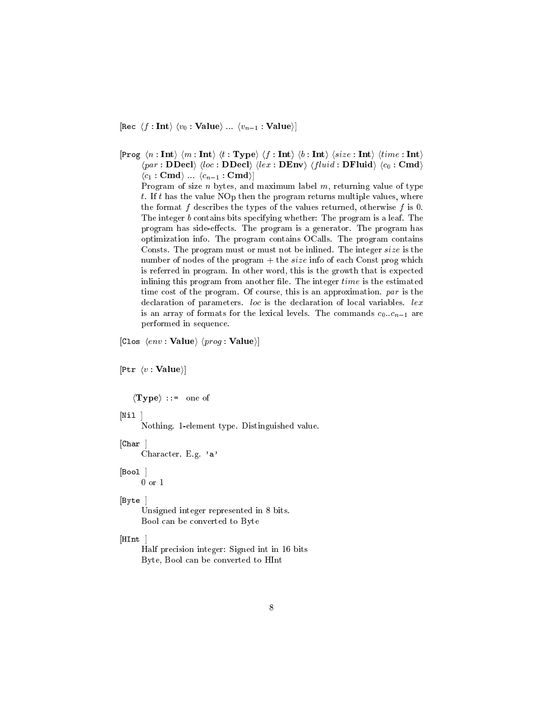[Rec  $\langle f : \text{Int} \rangle$   $\langle v_0 : \text{Value} \rangle$  ...  $\langle v_{n-1} : \text{Value} \rangle$ ]

 $\ket{\texttt{Prog}\ \langle n:\textbf{Int}\rangle\ \langle m:\textbf{Int}\rangle\ \langle t:\textbf{Type}\rangle\ \langle f:\textbf{Int}\rangle\ \langle b:\textbf{Int}\rangle\ \langle size:\textbf{Int}\rangle\ \langle time:\textbf{Int}\rangle}$  $\langle par : \textbf{DDecl} \rangle$   $\langle loc : \textbf{DDecl} \rangle$   $\langle lex : \textbf{DEnv} \rangle$   $\langle fluid : \textbf{DFluid} \rangle$   $\langle c_0 : \textbf{Cmd} \rangle$  $\langle c_1 : \mathbf{Cmd} \rangle \dots \langle c_{n-1} : \mathbf{Cmd} \rangle$ 

Program of size  $n$  bytes, and maximum label  $m$ , returning value of type t. If t has the value NOp then the program returns multiple values, where the format f describes the types of the values returned, otherwise f is 0. The integer  $b$  contains bits specifying whether: The program is a leaf. The program has side-effects. The program is a generator. The program has optimization info. The program contains OCalls. The program contains Consts. The program must or must not be inlined. The integer size is the number of nodes of the program  $+$  the size info of each Const prog which is referred in program. In other word, this is the growth that is expected inlining this program from another file. The integer time is the estimated time cost of the program. Of course, this is an approximation. par is the declaration of parameters. loc is the declaration of local variables. lex is an array of formats for the lexical levels. The commands  $c_0..c_{n-1}$  are performed in sequence.

[Clos  $\langle env : Value \rangle$   $\langle prog : Value \rangle$ ]

 $[$ Ptr  $\langle v : \textbf{Value} \rangle]$ 

 $\langle \textbf{Type} \rangle$  ::= one of

[Nil

Nothing. 1-element type. Distinguished value.

 $[Char]$ 

Character. E.g. 'a'

## $[Bool]$

 $0\ \mathrm{or}\ 1$ 

## [Byte]

Unsigned integer represented in 8 bits. Bool can be converted to Byte

## HInt

Half precision integer: Signed int in 16 bits Byte, Bool can be converted to HInt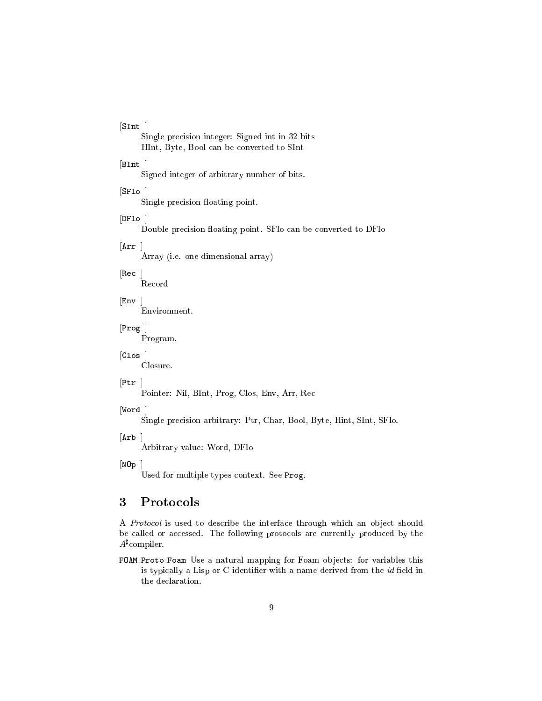# $[SInt]$

Single precision integer: Signed int in 32 bits HInt, Byte, Bool an be onverted to SInt

## $[Blnt]$

Signed integer of arbitrary number of bits.

## $[SFIo]$

Single precision floating point.

## $[DFlo]$

Double precision floating point. SFlo can be converted to DFlo

### $|\text{Arr}|$

Array (i.e. one dimensional array)

# $[Rec]$

Re
ord

# $[Env]$

Environment.

# $[{\rm Prog}]$

Program.

## $[Clos]$

Closure.

### $[Ptr]$

Pointer: Nil, BInt, Prog, Clos, Env, Arr, Re

### $[Word]$

Single precision arbitrary: Ptr, Char, Bool, Byte, Hint, SInt, SFlo.

# $[Arb]$

Arbitrary value: Word, DFlo

### $[NDp]$

Used for multiple types ontext. See Prog.

### 3 Protocols

A Protocol is used to describe the interface through which an object should be called or accessed. The following protocols are currently produced by the A<sup>,</sup> compiler.

FOAM Proto Foam Use a natural mapping for Foam objects: for variables this is typically a Lisp or  $C$  identifier with a name derived from the  $id$  field in the de
laration.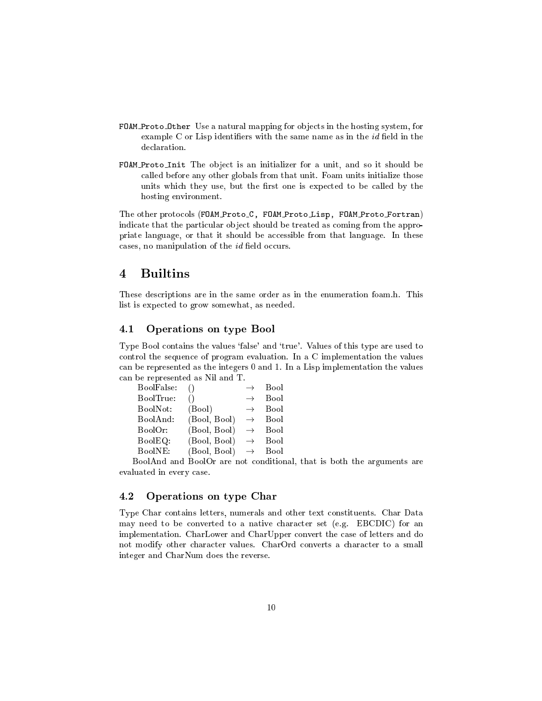- FOAM Proto Other Use a natural mapping for objects in the hosting system, for example  $C$  or Lisp identifiers with the same name as in the  $id$  field in the de
laration.
- FOAM Proto Init The object is an initializer for a unit, and so it should be alled before any other globals from that unit. Foam units initialize those units which they use, but the first one is expected to be called by the hosting environment.

The other protocols (FOAM Proto\_C, FOAM Proto\_Lisp, FOAM Proto\_Fortran) indicate that the particular object should be treated as coming from the appropriate language, or that it should be accessible from that language. In these cases, no manipulation of the  $id$  field occurs.

# $\overline{\mathbf{4}}$

These des
riptions are in the same order as in the enumeration foam.h. This list is expe
ted to grow somewhat, as needed.

#### 4.1 Operations on type Bool  $4.1$

Type Bool contains the values 'false' and 'true'. Values of this type are used to ontrol the sequen
e of program evaluation. In a C implementation the values an be represented as the integers 0 and 1. In a Lisp implementation the values an be represented as Nil and T.

| BoolFalse: |              | $\rightarrow$ | <b>Bool</b> |
|------------|--------------|---------------|-------------|
| BoolTrue:  |              | $\rightarrow$ | <b>Bool</b> |
| BoolNot:   | (Bool)       | $\rightarrow$ | <b>Bool</b> |
| BoolAnd:   | (Bool, Bool) | $\rightarrow$ | Bool        |
| BoolOr:    | (Bool, Bool) | $\rightarrow$ | Bool        |
| BoolEQ:    | (Bool, Bool) | $\rightarrow$ | Bool        |
| BoolNE:    | (Bool, Bool) | $\rightarrow$ | Bool        |
|            |              |               |             |

BoolAnd and BoolOr are not onditional, that is both the arguments are evaluated in every ase.

# 4.2 Operations on type Char

Type Char contains letters, numerals and other text constituents. Char Data may need to be converted to a native character set (e.g. EBCDIC) for an implementation. CharLower and CharUpper onvert the ase of letters and do not modify other character values. CharOrd converts a character to a small integer and CharNum does the reverse.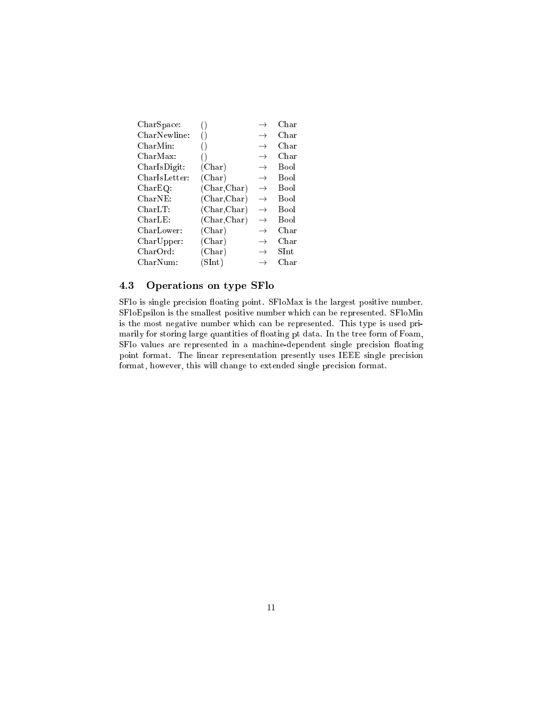| CharSpace:              |                 | $\rightarrow$ | Char         |
|-------------------------|-----------------|---------------|--------------|
| CharNewline:            | ()              | $\rightarrow$ | Char         |
| ${\rm CharMin}\colon$   | $\left(\right)$ | $\rightarrow$ | ${\rm Char}$ |
| CharMax:                |                 | $\rightarrow$ | ${\rm Char}$ |
| CharIsDigit:            | (Char)          | $\rightarrow$ | <b>Bool</b>  |
| ${\rm Char Is Letter:}$ | (Char)          | $\rightarrow$ | Bool         |
| CharEQ:                 | (Char, Char)    | $\rightarrow$ | Bool         |
| ${\rm CharNE}\colon$    | (Char, Char)    | $\rightarrow$ | <b>Bool</b>  |
| CharLT:                 | (Char, Char)    | $\rightarrow$ | Bool         |
| CharLE:                 | (Char, Char)    | $\rightarrow$ | Bool         |
| CharLower:              | (Char)          | $\rightarrow$ | ${\rm Char}$ |
| CharUpper:              | (Char)          | $\rightarrow$ | ${\rm Char}$ |
| ${\rm CharOrd:}$        | (Char)          | $\rightarrow$ | ${\rm SInt}$ |
| CharNum:                | (SInt)          | $\rightarrow$ | ${\rm Char}$ |

# 4.3 Operations on type SFlo

SFlo is single precision floating point. SFloMax is the largest positive number. SFloEpsilon is the smallest positive number whi
h an be represented. SFloMin is the most negative number whi
h an be represented. This type is used primarily for storing large quantities of floating pt data. In the tree form of Foam, SFlo values are represented in a machine-dependent single precision floating point format. The linear representation presently uses IEEE single precision format, however, this will change to extended single precision format.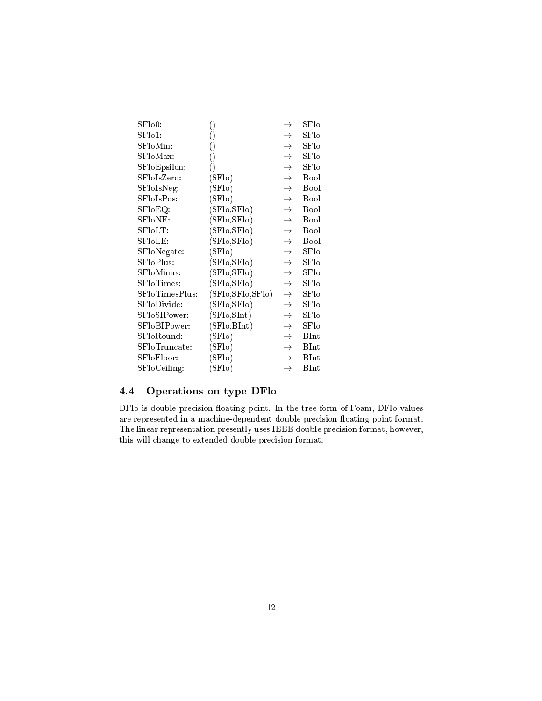|                  | $\rightarrow$    | ${\rm SFlo}$  |
|------------------|------------------|---------------|
|                  | $\rightarrow$    | ${\rm SFlo}$  |
|                  | $\rightarrow$    | ${\rm SFlo}$  |
|                  | $\rightarrow$    | ${\rm SFlo}$  |
| 0                | $\rightarrow$    | ${\rm SFlo}$  |
| (SFlo)           | $\rightarrow$    | Bool          |
| (SFlo)           | $\rightarrow$    | Bool          |
| (SFlo)           | $\rightarrow$    | <b>Bool</b>   |
| (SFlo,SFlo)      | $\rightarrow$    | Bool          |
| (SFlo,SFlo)      | $\rightarrow$    | Bool          |
| (SFlo,SFlo)      | $\rightarrow$    | Bool          |
| (SFlo,SFlo)      | $\rightarrow$    | Bool          |
| (SFlo)           | $\rightarrow$    | SFlo          |
| (SFlo,SFlo)      | $\rightarrow$    | SFlo          |
| (SFlo,SFlo)      | $\rightarrow$    | $_{\rm SFlo}$ |
| (SFlo,SFlo)      | $\rightarrow$    | $_{\rm SFlo}$ |
| (SFlo,SFlo,SFlo) | $\rightarrow$    | $_{\rm SFlo}$ |
| (SFlo,SFlo)      | $\rightarrow$    | $_{\rm SFlo}$ |
| (SFlo, SInt)     | $\rightarrow$    | $_{\rm SFlo}$ |
| (SFlo,BInt)      | $\rightarrow$    | $_{\rm SFlo}$ |
| (SFlo)           | $\rightarrow$    | <b>BInt</b>   |
| (SFlo)           | $\rightarrow$    | BInt          |
| (SFlo)           | $\rightarrow$    | BInt          |
| (SFlo)           | $\rightarrow$    | BInt          |
|                  | 0<br>0<br>0<br>0 |               |

# 4.4 Operations on type DFlo

DFlo is double precision floating point. In the tree form of Foam, DFlo values are represented in a machine-dependent double precision floating point format. The linear representation presently uses IEEE double precision format, however, this will change to extended double precision format.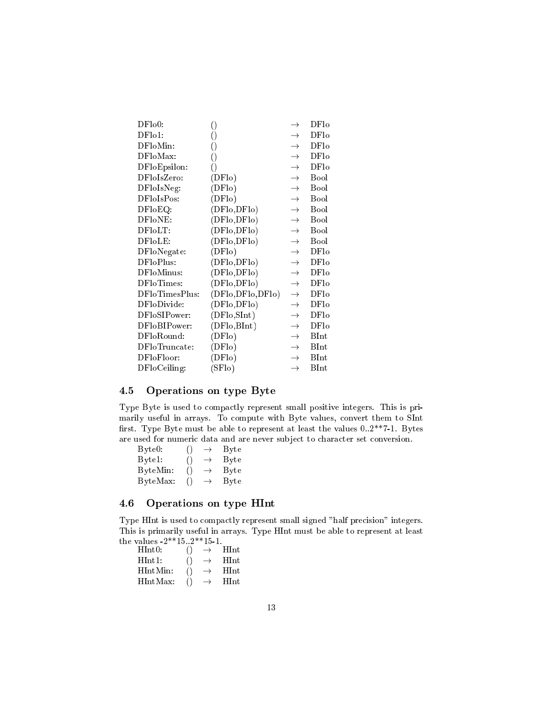| DFlo0:         | ()               | $\rightarrow$ | DF10             |
|----------------|------------------|---------------|------------------|
| DF101:         | ()               | $\rightarrow$ | DF10             |
| DFloMin:       | ()               | $\rightarrow$ | DF <sub>lo</sub> |
| DFloMax:       | ()               | $\rightarrow$ | DF10             |
| DFloEpsilon:   | ()               | $\rightarrow$ | DF10             |
| DFloIsZero:    | (DFlo)           | $\rightarrow$ | <b>Bool</b>      |
| DFloIsNeg:     | (DFlo)           | $\rightarrow$ | Bool             |
| DFloIsPos:     | (DFlo)           | $\rightarrow$ | <b>Bool</b>      |
| DFloEQ:        | (DFlo,DFlo)      | $\rightarrow$ | Bool             |
| DFloNE:        | (DFlo,DFlo)      | $\rightarrow$ | Bool             |
| DFloLT:        | (DFlo,DFlo)      | $\rightarrow$ | Bool             |
| DFloLE:        | (DFlo,DFlo)      | $\rightarrow$ | Bool             |
| DFloNegate:    | (DFlo)           | $\rightarrow$ | DF10             |
| DFloPlus:      | (DFlo,DFlo)      | $\rightarrow$ | DF <sub>lo</sub> |
| DFloMinus:     | (DFlo,DFlo)      | $\rightarrow$ | DF10             |
| DFloTimes:     | (DFlo,DFlo)      | $\rightarrow$ | DFlo             |
| DFloTimesPlus: | (DFlo,DFlo,DFlo) | $\rightarrow$ | DFlo             |
| DFloDivide:    | (DFlo,DFlo)      | $\rightarrow$ | DFlo             |
| DFloSIPower:   | (DFlo, SInt)     | $\rightarrow$ | DFlo             |
| DFloBIPower:   | (DFlo, BInt)     | $\rightarrow$ | DF10             |
| DFloRound:     | (DFlo)           | $\rightarrow$ | BInt             |
| DFloTruncate:  | (DFlo)           | $\rightarrow$ | <b>BInt</b>      |
| DFloFloor:     | (DFlo)           | $\rightarrow$ | <b>BInt</b>      |
| DFloCeiling:   | (SFlo)           | $\rightarrow$ | $_{\rm BInt}$    |

# 4.5 Operations on type Byte

Type Byte is used to compactly represent small positive integers. This is primarily useful in arrays. To ompute with Byte values, onvert them to SInt first. Type Byte must be able to represent at least the values  $0.2^{**}$ 7-1. Bytes are used for numeric data and are never subject to character set conversion.

Byte0: ()  $\rightarrow$  Byte Bytel: ()  $\rightarrow$  Byte ByteMin: ()  $\rightarrow$  Byte ByteMax:  $() \rightarrow B$ yte

# 4.6 Operations on type HInt

Type HInt is used to compactly represent small signed "half precision" integers. This is primarily useful in arrays. Type HInt must be able to represent at least the values  $-2***15..2***15-1$ .

| HInt0:          | $\left( \right)$ | HInt  |
|-----------------|------------------|-------|
| $\text{HInt1:}$ | $\left( \right)$ | HInt  |
| HIntMin:        | $\left( \right)$ | HInt. |
| HIntMax:        |                  | HInt. |
|                 |                  |       |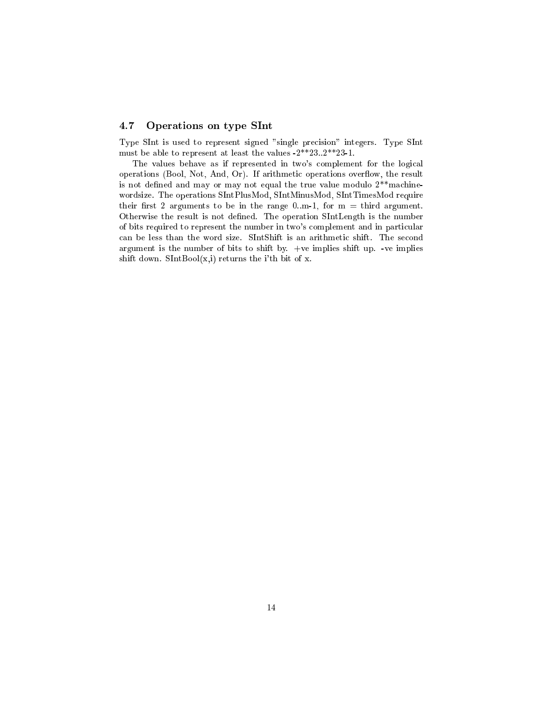# 4.7 Operations on type SInt

Type SInt is used to represent signed "single precision" integers. Type SInt must be able to represent at least the values -2\*\*23..2\*\*23-1.

The values behave as if represented in two's complement for the logical operations (Bool, Not, And, Or). If arithmetic operations overflow, the result is not defined and may or may not equal the true value modulo  $2^{**}$  machinewordsize. The operations SIntPlusMod, SIntMinusMod, SIntTimesMod require their first 2 arguments to be in the range 0.m-1, for  $m =$  third argument. Otherwise the result is not defined. The operation SIntLength is the number of bits required to represent the number in two's complement and in particular can be less than the word size. SIntShift is an arithmetic shift. The second argument is the number of bits to shift by. +ve implies shift up. -ve implies shift down. SIntBool $(x, i)$  returns the i'th bit of x.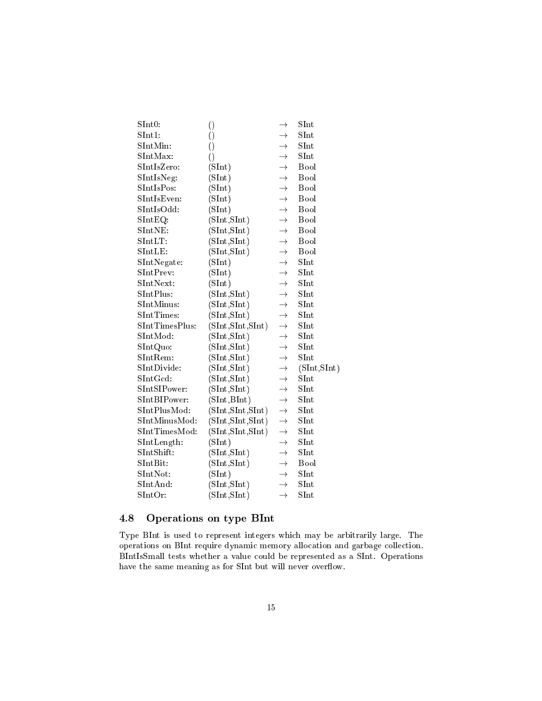| SInt0:                                                           | $\left(\right)$    | $\rightarrow$ | SInt          |
|------------------------------------------------------------------|--------------------|---------------|---------------|
| SInt1:                                                           | $\left(\right)$    | $\rightarrow$ | SInt          |
| SInt Min:                                                        | 0                  | $\rightarrow$ | SInt          |
| SInt Max:                                                        | ()                 | $\rightarrow$ | SInt          |
| SInt IsZero:                                                     | (SInt)             | $\rightarrow$ | Bool          |
| SInt IsNeg:                                                      | (SInt)             | $\rightarrow$ | Bool          |
| SIntIsPos:                                                       | (SInt)             | $\rightarrow$ | Bool          |
| SInt Is Even:                                                    | (SInt)             | $\rightarrow$ | Bool          |
| SIntIsOdd:                                                       | (SInt)             | $\rightarrow$ | Bool          |
| $SIntEQ$ :                                                       | (SInt, SInt)       | $\rightarrow$ | Bool          |
| SIntNE:                                                          | (SInt, SInt)       | $\rightarrow$ | Bool          |
| $SIntLT$ :                                                       | (SInt, SInt)       | $\rightarrow$ | Bool          |
| SIntLE:                                                          | (SInt, SInt)       | $\rightarrow$ | Bool          |
| SInt Negate:                                                     | (SInt)             | $\rightarrow$ | SInt          |
| SInt Prev:                                                       | (SInt)             | $\rightarrow$ | SInt          |
| SInt Next:                                                       | (SInt)             | $\rightarrow$ | SInt          |
| SIntPlus:                                                        | (SInt, SInt)       | $\rightarrow$ | SInt          |
| SInt Minus:                                                      | (SInt, SInt)       | $\rightarrow$ | $_{\rm SInt}$ |
| SInt Times:                                                      | (SInt, SInt)       | $\rightarrow$ | SInt          |
| SIntTimesPlus:                                                   | (SInt, SInt, SInt) | $\rightarrow$ | $_{\rm SInt}$ |
| SIntMod:                                                         | (SInt, SInt)       | $\rightarrow$ | $_{\rm SInt}$ |
| SIntQuo:                                                         | (SInt, SInt)       | $\rightarrow$ | SInt          |
| SIntRem:                                                         | (SInt, SInt)       | $\rightarrow$ | SInt          |
| SIntDivide:                                                      | (SInt, SInt)       | $\rightarrow$ | (SInt, SInt)  |
| SIntGcd                                                          | (SInt, SInt)       | $\rightarrow$ | SInt          |
| SIntSIPower:                                                     | (SInt, SInt)       | $\rightarrow$ | SInt          |
| SInt BIPower:                                                    | (SInt, BInt)       | $\rightarrow$ | SInt          |
| SIntPlusMod:                                                     | (SInt, SInt, SInt) | $\rightarrow$ | SInt          |
| SInt Minus Mod:                                                  | (SInt, SInt, SInt) | $\rightarrow$ | SInt          |
| SIntTimesMod:                                                    | (SInt, SInt, SInt) | $\rightarrow$ | SInt          |
| SIntLength:                                                      | (SInt)             | $\rightarrow$ | $_{\rm SInt}$ |
| SIntShift:                                                       | (SInt, SInt)       | $\rightarrow$ | SInt          |
| SInt Bit:                                                        | (SInt, SInt)       | $\rightarrow$ | Bool          |
| SInt Not:                                                        | (SInt)             | $\rightarrow$ | $_{\rm SInt}$ |
| $\mathop{\mathrm{SInt}}\nolimits\mathop{\mathrm{And}}\nolimits:$ | (SInt, SInt)       | $\rightarrow$ | SInt          |
| ${\rm SIntOr:}$                                                  | (SInt, SInt)       | $\rightarrow$ | SInt          |

### Operations on type BInt 4.8

Type BInt is used to represent integers which may be arbitrarily large. The operations on BInt require dynamic memory allocation and garbage collection. BIntIsSmall tests whether a value could be represented as a SInt. Operations have the same meaning as for SInt but will never overflow.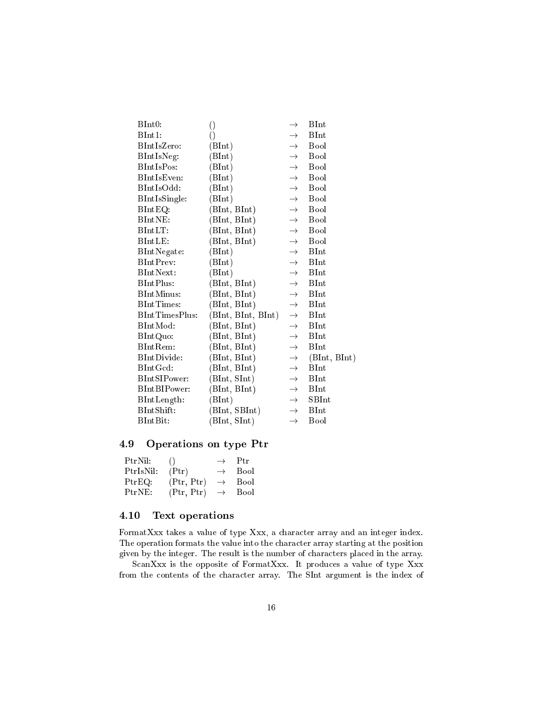| BInt0:         | 0                  | $\rightarrow$ | BInt         |
|----------------|--------------------|---------------|--------------|
| BInt1:         | 0                  | $\rightarrow$ | <b>BInt</b>  |
| BIntIsZero:    | (BInt)             | $\rightarrow$ | Bool         |
| BIntIsNeg:     | (BInt)             | $\rightarrow$ | Bool         |
| BIntIsPos:     | (BInt)             | $\rightarrow$ | Bool         |
| BIntIsEven:    | (BInt)             | $\rightarrow$ | Bool         |
| BIntIsOdd:     | (BInt)             | $\rightarrow$ | Bool         |
| BIntIsSingle:  | (BInt)             | $\rightarrow$ | Bool         |
| $BIntEQ$ :     | (BInt, BInt)       | $\rightarrow$ | Bool         |
| BIntNE:        | (BInt, BInt)       | $\rightarrow$ | Bool         |
| BIntLT:        | (BInt, BInt)       | $\rightarrow$ | Bool         |
| BIntLE:        | (BInt, BInt)       | $\rightarrow$ | Bool         |
| BIntNegate:    | (BInt)             | $\rightarrow$ | BInt         |
| BIntPrev:      | (BInt)             | $\rightarrow$ | BInt         |
| BIntNext:      | (BInt)             | $\rightarrow$ | BInt         |
| BIntPlus:      | (BInt, BInt)       | $\rightarrow$ | <b>BInt</b>  |
| BIntMinus:     | (BInt, BInt)       | $\rightarrow$ | <b>BInt</b>  |
| BIntTimes:     | (BInt, BInt)       | $\rightarrow$ | <b>BInt</b>  |
| BIntTimesPlus: | (BInt, BInt, BInt) | $\rightarrow$ | <b>BInt</b>  |
| BIntMod:       | (BInt, BInt)       | $\rightarrow$ | BInt         |
| BIntQuo:       | (BInt, BInt)       | $\rightarrow$ | <b>BInt</b>  |
| BIntRem:       | (BInt, BInt)       | $\rightarrow$ | BInt         |
| BIntDivide:    | (BInt, BInt)       | $\rightarrow$ | (BInt, BInt) |
| BIntGcd:       | (BInt, BInt)       | $\rightarrow$ | BInt         |
| BIntSIPower:   | (BInt, SInt)       | $\rightarrow$ | <b>BInt</b>  |
| BIntBIPower:   | (BInt, BInt)       | $\rightarrow$ | BInt         |
| BIntLength:    | (BInt)             | $\rightarrow$ | <b>SBInt</b> |
| BIntShift:     | (BInt, SBInt)      | $\rightarrow$ | <b>BInt</b>  |
| BIntBit:       | (BInt, SInt)       | $\rightarrow$ | Bool         |
|                |                    |               |              |

# 4.9 Operations on type Ptr

| PtrNil:   | $\left( \right)$ | $\rightarrow$ | $P_{tr}$    |
|-----------|------------------|---------------|-------------|
| PtrIsNil: | (Put)            | $\rightarrow$ | <b>Bool</b> |
| PtrEO:    | (Ptr, Ptr)       | $\rightarrow$ | Bool        |
| PtrNE:    | (Pr, Ptr)        | $\rightarrow$ | <b>Bool</b> |

# 4.10 Text operations

FormatXxx takes a value of type Xxx, a character array and an integer index. The operation formats the value into the character array starting at the position given by the integer. The result is the number of characters placed in the array.

ScanXxx is the opposite of FormatXxx. It produces a value of type Xxx from the contents of the character array. The SInt argument is the index of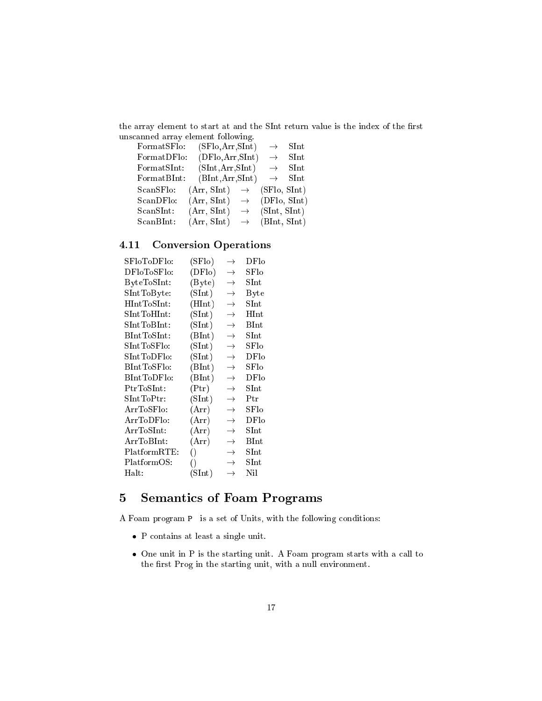the array element to start at and the SInt return value is the index of the first uns
anned array element following.

| FormatSFlo:  | (SFlo, Arr, SInt) |               | $\rightarrow$ | ${\rm SInt}$          |
|--------------|-------------------|---------------|---------------|-----------------------|
| Format DFlo: | (DFlo, Arr, SInt) |               | $\rightarrow$ | ${\rm SInt}$          |
| Format SInt: | (SInt, Arr, SInt) |               | $\rightarrow$ | $\operatorname{SInt}$ |
| Format BInt: | (BInt, Arr, SInt) |               |               | $\rightarrow$ SInt    |
| ScanSFlo:    | (Arr, SInt)       | $\rightarrow$ | (SFlo, SInt)  |                       |
| ScanDFlo:    | (Arr, SInt)       | $\rightarrow$ | (DFlo, SInt)  |                       |
| ScanSInt:    | (Arr, SInt)       | $\rightarrow$ | (SInt, SInt)  |                       |
| ScanBInt:    | (Arr, SInt)       | $\rightarrow$ | (BInt, SInt)  |                       |

# 4.11 Conversion Operations

| SFloToDFlo:                                  | (SFlo)                  | $\rightarrow$ | DFlo                  |
|----------------------------------------------|-------------------------|---------------|-----------------------|
| DFloToSFlo:                                  | (DFlo)                  | $\rightarrow$ | SFD                   |
| ByteToSInt:                                  | (B <sub>y</sub> te)     | $\rightarrow$ | ${\rm SInt}$          |
| ${\rm SIntToByte}$ :                         | (SInt)                  | $\rightarrow$ | Byte                  |
| $\operatorname{HIntToSInt}$ :                | (HInt)                  | $\rightarrow$ | ${\rm SInt}$          |
| $\text{SIntToHInt:}$                         | (SInt)                  | $\rightarrow$ | $_{\rm HInt}$         |
| ${\rm SIntToBInt}\colon$                     | (SInt)                  | $\rightarrow$ | $_{\rm BInt}$         |
| $\operatorname{BIntToSInt}$ :                | (BInt)                  | $\rightarrow$ | ${\rm SInt}$          |
| ${\rm SIntToS Flo:}$                         | (SInt)                  | $\rightarrow$ | $_{\rm SFlo}$         |
| $\operatorname{SIntTopFlo:}$                 | (SInt)                  | $\rightarrow$ | DFlo                  |
| $\operatorname{BIntToSFlo:}$                 | (BInt)                  | $\rightarrow$ | $_{\rm SFlo}$         |
| $\operatorname{BIntTop}$ Flo:                | (BInt)                  | $\rightarrow$ | DFlo                  |
| ${\rm PrToSInt}\colon$                       | $(\mathrm{Ptr})$        | $\rightarrow$ | $_{\rm SInt}$         |
| ${\rm SInt ToPtr:}$                          | (SInt)                  | $\rightarrow$ | Ptr                   |
| ArrToSFlo:                                   | (Arr)                   | $\rightarrow$ | SFlo                  |
| ArrToDFlo:                                   | (Arr)                   | $\rightarrow$ | DFlo                  |
| $\operatorname{Arr} \operatorname{ToSInt}$ : | (Arr)                   | $\rightarrow$ | ${\rm SInt}$          |
| $\operatorname{Arr} \operatorname{ToBInt}$ : | (Arr)                   | $\rightarrow$ | $\operatorname{BInt}$ |
| ${\rm PlatformRTE:}$                         | $\left(\right)$         | $\rightarrow$ | ${\rm SInt}$          |
| ${\rm PlatformOS:}$                          | $\left(\right)$         | $\rightarrow$ | $_{\rm SInt}$         |
| $\operatorname{Halt:}$                       | $(\operatorname{SInt})$ | $\rightarrow$ | Nil                   |

# 5 Semanti
s of Foam Programs

A Foam program P is a set of Units, with the following onditions:

- P contains at least a single unit.
- $\bullet$  One unit in P is the starting unit. A Foam program starts with a call to the first Prog in the starting unit, with a null environment.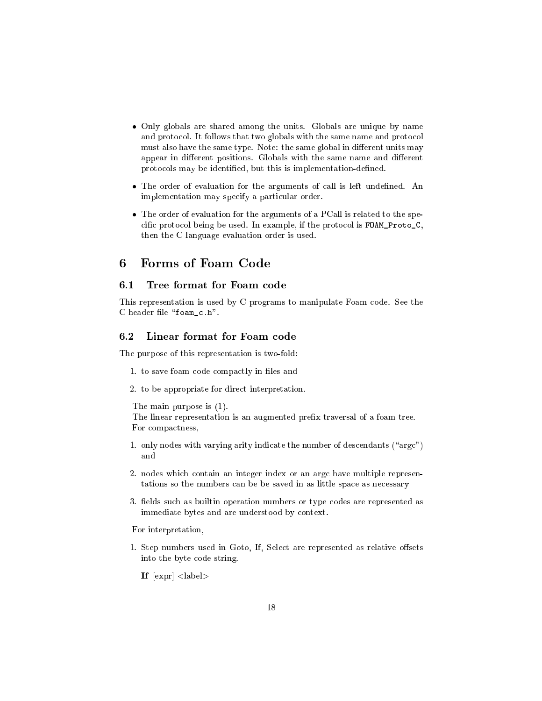- Only globals are shared among the units. Globals are unique by name and protocol. It follows that two globals with the same name and protocol must also have the same type. Note: the same global in different units may appear in different positions. Globals with the same name and different protocols may be identified, but this is implementation-defined.
- The order of evaluation for the arguments of call is left undefined. An implementation may specify a particular order.
- The order of evaluation for the arguments of a PCall is related to the spe cific protocol being be used. In example, if the protocol is FOAM\_Proto\_C, then the C language evaluation order is used.

# 6

# 6.1 Tree format for Foam ode

This representation is used by C programs to manipulate Foam code. See the C header file "foam\_c.h".

### Linear format for Foam code 6.2

The purpose of this representation is two-fold:

- 1. to save foam code compactly in files and
- 2. to be appropriate for direct interpretation.

The main purpose is (1).

The linear representation is an augmented prefix traversal of a foam tree. For compactness,

- 1. only nodes with varying arity indicate the number of descendants  $("argc")$
- 2. nodes which contain an integer index or an argc have multiple representations so the numbers can be be saved in as little space as necessary
- 3. fields such as builtin operation numbers or type codes are represented as immediate bytes and are understood by context.

For interpretation,

1. Step numbers used in Goto, If, Select are represented as relative offsets into the byte ode string.

If  $\mathbb{R}^n$  is a set of the set of the set of the set of the set of the set of the set of the set of the set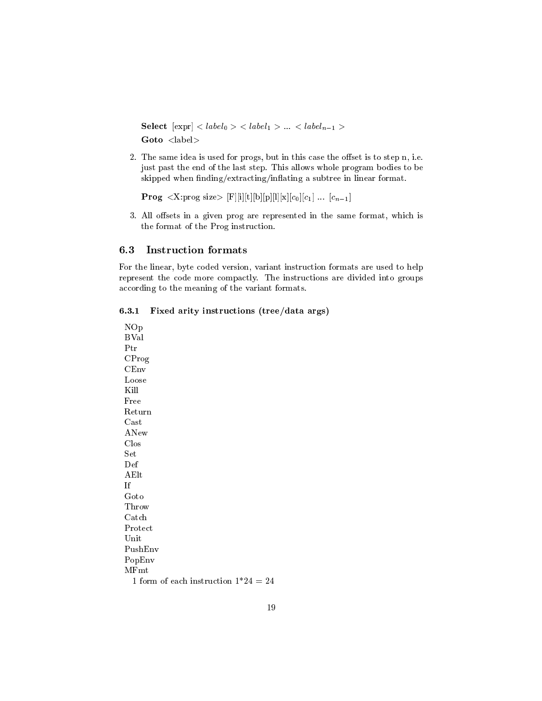**Select**  $\left[\exp r\right]$  <  $label_0$  > <  $label_1$  > ... <  $label_{n-1}$  > Goto <label>

2. The same idea is used for progs, but in this case the offset is to step n, i.e. just past the end of the last step. This allows whole program bodies to be skipped when finding/extracting/inflating a subtree in linear format.

```
Prog <X:prog size> [F][i][t][b][p][l][x][c<sub>0</sub>][c<sub>1</sub>] ... [c<sub>n-1</sub>]
```
3. All offsets in a given prog are represented in the same format, which is the format of the Prog instruction.

### **Instruction formats**  $6.3$

For the linear, byte coded version, variant instruction formats are used to help represent the code more compactly. The instructions are divided into groups according to the meaning of the variant formats.

#### $6.3.1$ Fixed arity instructions (tree/data args)

NOp **BVal** Ptr CProg  $CEnv$ Loose Kill Free Return  $\operatorname{Cast}$ ANew Clos Set Def AElt If Goto Throw Catch Protect Unit PushEnv PopEnv  $MFmt$ 1 form of each instruction  $1*24 = 24$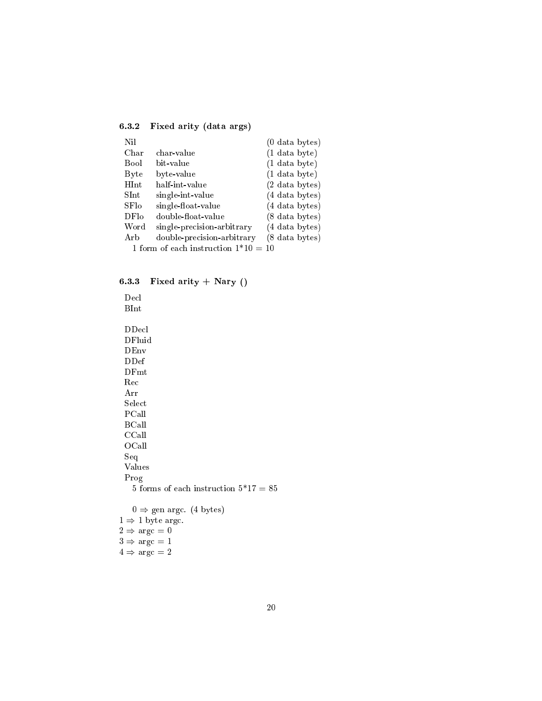$5.32 \pm 0.25$  Fixed arity (data are  $A^2$ )

| <b>Nil</b>            |                                      | $(0$ data bytes)         |
|-----------------------|--------------------------------------|--------------------------|
| Char                  | char-value                           | $(1$ data byte)          |
| Bool                  | bit-value                            | $(1$ data byte)          |
| Byte                  | byte-value                           | $(1$ data byte)          |
| HInt                  | half-int-value                       | $(2 \text{ data bytes})$ |
| $\operatorname{SInt}$ | single-int-value                     | $(4$ data bytes)         |
| SFlo                  | single-float-value                   | $(4$ data bytes)         |
| DF <sub>lo</sub>      | double-float-value                   | $(8$ data bytes)         |
| Word                  | single-precision-arbitrary           | $(4 \text{ data bytes})$ |
| Arb                   | double-precision-arbitrary           | (8 data bytes)           |
|                       | 1 form of each instruction $1*10=10$ |                          |

6.3.3 Fixed arity <sup>+</sup> Nary ()

De
l BInt DDe
l DFluid DEnv DDef DFmt Re Arr Sele
t PCall BCall CCall OCall Seq Values Prog 5 forms of each instruction  $5*17 = 85$  $0 \Rightarrow$  gen argc. (4 bytes)  $1 \Rightarrow 1$  byte argc.  $2 \Rightarrow \arg c = 0$  $3 \Rightarrow \arg c = 1$ 

 $4 \Rightarrow \arg c = 2$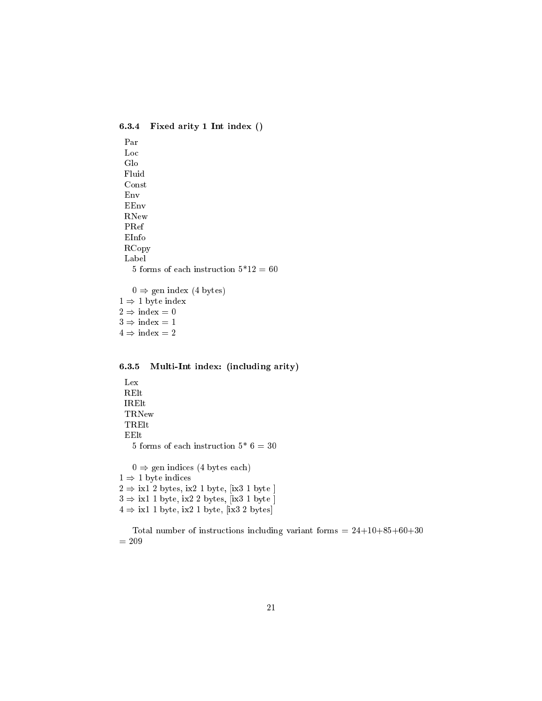6.3.4Fixed arity <sup>1</sup> Int index ()

Par Lo Glo Fluid Const Env EEnv RNew PRef EInfo RCopy Label 5 forms of each instruction  $5*12 = 60$  $0 \Rightarrow$  gen index (4 bytes)  $1 \Rightarrow 1$  byte index  $2 \Rightarrow \text{index} = 0$  $3 \Rightarrow \text{index} = 1$ 

 $4 \Rightarrow \text{index} = 2$ 

#### 6.3.5Multi-Int index: (in
luding arity)

Lex RElt IRElt TRNew TRElt EElt 5 forms of each instruction  $5^*$  6 = 30  $0 \Rightarrow$  gen indices (4 bytes each)  $1 \Rightarrow 1$  byte indices  $2 \Rightarrow$  ix1 2 bytes, ix2 1 byte, [ix3 1 byte ]  $3 \Rightarrow$  ix1 1 byte, ix2 2 bytes, [ix3 1 byte]  $4 \Rightarrow$  ix1 1 byte, ix2 1 byte, [ix3 2 bytes]

Total number of instructions including variant forms  $= 24+10+85+60+30$  $= 209$